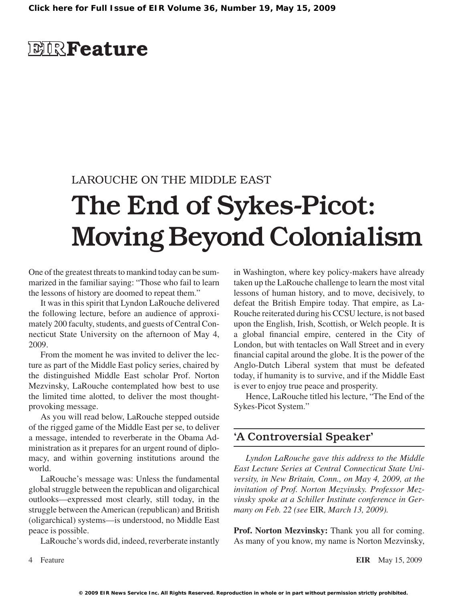## **EIRFeature**

### LAROUCHE ON THE MIDDLE EAST

# The End of Sykes-Picot: Moving Beyond Colonialism

One of the greatest threats to mankind today can be summarized in the familiar saying: "Those who fail to learn the lessons of history are doomed to repeat them."

It was in this spirit that Lyndon LaRouche delivered the following lecture, before an audience of approximately 200 faculty, students, and guests of Central Connecticut State University on the afternoon of May 4, 2009.

From the moment he was invited to deliver the lecture as part of the Middle East policy series, chaired by the distinguished Middle East scholar Prof. Norton Mezvinsky, LaRouche contemplated how best to use the limited time alotted, to deliver the most thoughtprovoking message.

As you will read below, LaRouche stepped outside of the rigged game of the Middle East per se, to deliver a message, intended to reverberate in the Obama Administration as it prepares for an urgent round of diplomacy, and within governing institutions around the world.

LaRouche's message was: Unless the fundamental global struggle between the republican and oligarchical outlooks—expressed most clearly, still today, in the struggle between theAmerican (republican) and British (oligarchical) systems—is understood, no Middle East peace is possible.

LaRouche's words did, indeed, reverberate instantly

in Washington, where key policy-makers have already taken up the LaRouche challenge to learn the most vital lessons of human history, and to move, decisively, to defeat the British Empire today. That empire, as La-Rouche reiterated during his CCSU lecture, is not based upon the English, Irish, Scottish, or Welch people. It is a global financial empire, centered in the City of London, but with tentacles on Wall Street and in every financial capital around the globe. It is the power of the Anglo-Dutch Liberal system that must be defeated today, if humanity is to survive, and if the Middle East is ever to enjoy true peace and prosperity.

Hence, LaRouche titled his lecture, "The End of the Sykes-Picot System."

#### 'A Controversial Speaker'

*Lyndon LaRouche gave this address to the Middle East Lecture Series at Central Connecticut State University, in New Britain, Conn., on May 4, 2009, at the invitation of Prof. Norton Mezvinsky. Professor Mezvinsky spoke at a Schiller Institute conference in Germany on Feb. 22 (see* EIR*, March 13, 2009).*

**Prof. Norton Mezvinsky:** Thank you all for coming. As many of you know, my name is Norton Mezvinsky,

Feature **EIR** May 15, 2009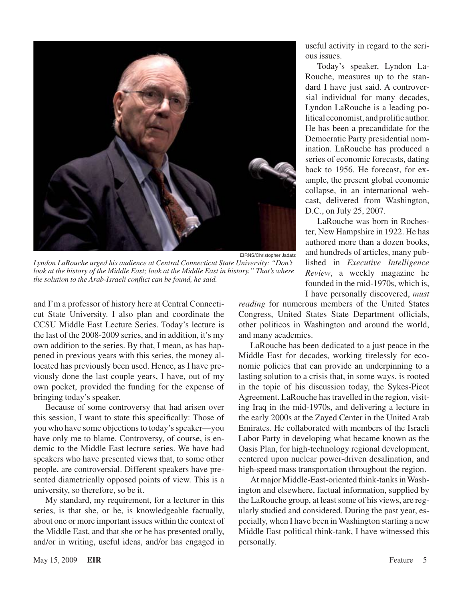

EIRNS/Christopher Jadatz

*Lyndon LaRouche urged his audience at Central Connecticut State University: "Don't look at the history of the Middle East; look at the Middle East in history." That's where the solution to the Arab-Israeli conflict can be found, he said.*

and I'm a professor of history here at Central Connecticut State University. I also plan and coordinate the CCSU Middle East Lecture Series. Today's lecture is the last of the 2008-2009 series, and in addition, it's my own addition to the series. By that, I mean, as has happened in previous years with this series, the money allocated has previously been used. Hence, as I have previously done the last couple years, I have, out of my own pocket, provided the funding for the expense of bringing today's speaker.

Because of some controversy that had arisen over this session, I want to state this specifically: Those of you who have some objections to today's speaker—you have only me to blame. Controversy, of course, is endemic to the Middle East lecture series. We have had speakers who have presented views that, to some other people, are controversial. Different speakers have presented diametrically opposed points of view. This is a university, so therefore, so be it.

My standard, my requirement, for a lecturer in this series, is that she, or he, is knowledgeable factually, about one or more important issues within the context of the Middle East, and that she or he has presented orally, and/or in writing, useful ideas, and/or has engaged in useful activity in regard to the serious issues.

Today's speaker, Lyndon La-Rouche, measures up to the standard I have just said. A controversial individual for many decades, Lyndon LaRouche is a leading political economist, and prolific author. He has been a precandidate for the Democratic Party presidential nomination. LaRouche has produced a series of economic forecasts, dating back to 1956. He forecast, for example, the present global economic collapse, in an international webcast, delivered from Washington, D.C., on July 25, 2007.

LaRouche was born in Rochester, New Hampshire in 1922. He has authored more than a dozen books, and hundreds of articles, many published in *Executive Intelligence Review*, a weekly magazine he founded in the mid-1970s, which is, I have personally discovered, *must* 

*reading* for numerous members of the United States Congress, United States State Department officials, other politicos in Washington and around the world, and many academics.

LaRouche has been dedicated to a just peace in the Middle East for decades, working tirelessly for economic policies that can provide an underpinning to a lasting solution to a crisis that, in some ways, is rooted in the topic of his discussion today, the Sykes-Picot Agreement. LaRouche has travelled in the region, visiting Iraq in the mid-1970s, and delivering a lecture in the early 2000s at the Zayed Center in the United Arab Emirates. He collaborated with members of the Israeli Labor Party in developing what became known as the Oasis Plan, for high-technology regional development, centered upon nuclear power-driven desalination, and high-speed mass transportation throughout the region.

Atmajor Middle-East-oriented think-tanksinWashington and elsewhere, factual information, supplied by the LaRouche group, at least some of his views, are regularly studied and considered. During the past year, especially, when I have been inWashington starting a new Middle East political think-tank, I have witnessed this personally.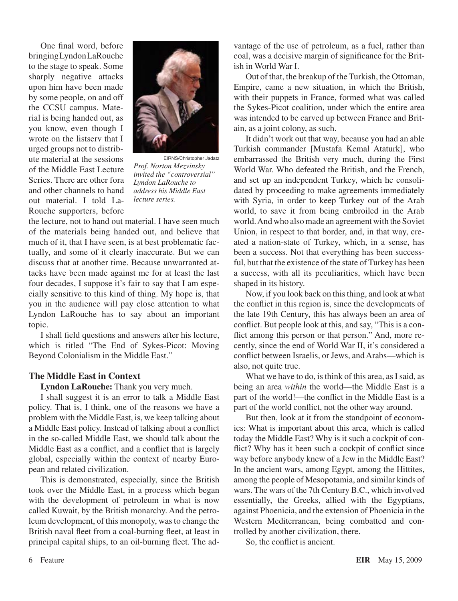One final word, before bringingLyndonLaRouche to the stage to speak. Some sharply negative attacks upon him have been made by some people, on and off the CCSU campus. Material is being handed out, as you know, even though I wrote on the listserv that I urged groups not to distribute material at the sessions of the Middle East Lecture Series. There are other fora and other channels to hand out material. I told La-Rouche supporters, before



EIRNS/Christopher Jadatz *Prof. Norton Mezvinsky invited the "controversial" Lyndon LaRouche to address his Middle East lecture series.*

the lecture, not to hand out material. I have seen much of the materials being handed out, and believe that much of it, that I have seen, is at best problematic factually, and some of it clearly inaccurate. But we can discuss that at another time. Because unwarranted attacks have been made against me for at least the last four decades, I suppose it's fair to say that I am especially sensitive to this kind of thing. My hope is, that you in the audience will pay close attention to what Lyndon LaRouche has to say about an important topic.

I shall field questions and answers after his lecture, which is titled "The End of Sykes-Picot: Moving Beyond Colonialism in the Middle East."

#### **The Middle East in Context**

**Lyndon LaRouche:** Thank you very much.

I shall suggest it is an error to talk a Middle East policy. That is, I think, one of the reasons we have a problem with the Middle East, is, we keep talking about a Middle East policy. Instead of talking about a conflict in the so-called Middle East, we should talk about the Middle East as a conflict, and a conflict that is largely global, especially within the context of nearby European and related civilization.

This is demonstrated, especially, since the British took over the Middle East, in a process which began with the development of petroleum in what is now called Kuwait, by the British monarchy. And the petroleum development, of this monopoly, wasto change the British naval fleet from a coal-burning fleet, at least in principal capital ships, to an oil-burning fleet. The advantage of the use of petroleum, as a fuel, rather than coal, was a decisive margin of significance for the British in World War I.

Out of that, the breakup of the Turkish, the Ottoman, Empire, came a new situation, in which the British, with their puppets in France, formed what was called the Sykes-Picot coalition, under which the entire area was intended to be carved up between France and Britain, as a joint colony, as such.

It didn't work out that way, because you had an able Turkish commander [Mustafa Kemal Ataturk], who embarrassed the British very much, during the First World War. Who defeated the British, and the French, and set up an independent Turkey, which he consolidated by proceeding to make agreements immediately with Syria, in order to keep Turkey out of the Arab world, to save it from being embroiled in the Arab world.And who also made an agreement with the Soviet Union, in respect to that border, and, in that way, created a nation-state of Turkey, which, in a sense, has been a success. Not that everything has been successful, but that the existence of the state of Turkey has been a success, with all its peculiarities, which have been shaped in its history.

Now, if you look back on thisthing, and look at what the conflict in this region is, since the developments of the late 19th Century, this has always been an area of conflict. But people look at this, and say, "This is a conflict among this person or that person." And, more recently, since the end of World War II, it's considered a conflict between Israelis, or Jews, and Arabs—which is also, not quite true.

What we have to do, is think of this area, as I said, as being an area *within* the world—the Middle East is a part of the world!—the conflict in the Middle East is a part of the world conflict, not the other way around.

But then, look at it from the standpoint of economics: What is important about this area, which is called today the Middle East? Why is it such a cockpit of conflict? Why has it been such a cockpit of conflict since way before anybody knew of a Jew in the Middle East? In the ancient wars, among Egypt, among the Hittites, among the people of Mesopotamia, and similar kinds of wars. The wars of the 7th Century B.C., which involved essentially, the Greeks, allied with the Egyptians, against Phoenicia, and the extension of Phoenicia in the Western Mediterranean, being combatted and controlled by another civilization, there.

So, the conflict is ancient.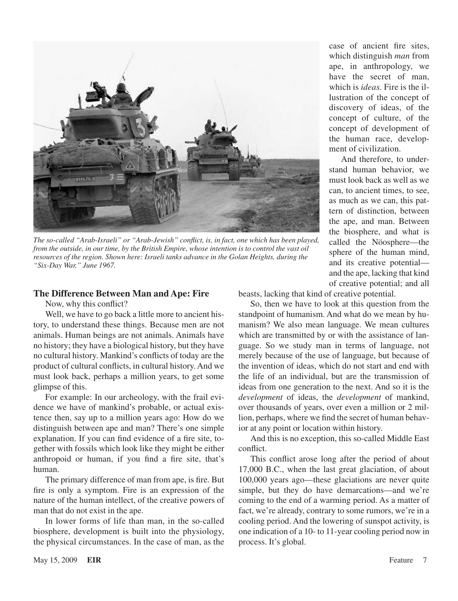

*The so-called "Arab-Israeli" or "Arab-Jewish" conflict, is, in fact, one which has been played, from the outside, in our time, by the British Empire, whose intention is to control the vast oil resources of the region. Shown here: Israeli tanks advance in the Golan Heights, during the "Six-Day War," June 1967.*

#### **The Difference Between Man and Ape: Fire**

Now, why this conflict?

Well, we have to go back a little more to ancient history, to understand these things. Because men are not animals. Human beings are not animals. Animals have no history; they have a biological history, but they have no cultural history. Mankind's conflicts of today are the product of cultural conflicts, in cultural history. And we must look back, perhaps a million years, to get some glimpse of this.

For example: In our archeology, with the frail evidence we have of mankind's probable, or actual existence then, say up to a million years ago: How do we distinguish between ape and man? There's one simple explanation. If you can find evidence of a fire site, together with fossils which look like they might be either anthropoid or human, if you find a fire site, that's human.

The primary difference of man from ape, is fire. But fire is only a symptom. Fire is an expression of the nature of the human intellect, of the creative powers of man that do not exist in the ape.

In lower forms of life than man, in the so-called biosphere, development is built into the physiology, the physical circumstances. In the case of man, as the case of ancient fire sites, which distinguish *man* from ape, in anthropology, we have the secret of man, which is *ideas.* Fire is the illustration of the concept of discovery of ideas, of the concept of culture, of the concept of development of the human race, development of civilization.

And therefore, to understand human behavior, we must look back as well as we can, to ancient times, to see, as much as we can, this pattern of distinction, between the ape, and man. Between the biosphere, and what is called the Nöosphere—the sphere of the human mind, and its creative potential and the ape, lacking that kind of creative potential; and all

beasts, lacking that kind of creative potential.

So, then we have to look at this question from the standpoint of humanism. And what do we mean by humanism? We also mean language. We mean cultures which are transmitted by or with the assistance of language. So we study man in terms of language, not merely because of the use of language, but because of the invention of ideas, which do not start and end with the life of an individual, but are the transmission of ideas from one generation to the next. And so it is the *development* of ideas, the *development* of mankind, over thousands of years, over even a million or 2 million, perhaps, where we find the secret of human behavior at any point or location within history.

And this is no exception, this so-called Middle East conflict.

This conflict arose long after the period of about 17,000 B.C., when the last great glaciation, of about 100,000 years ago—these glaciations are never quite simple, but they do have demarcations—and we're coming to the end of a warming period. As a matter of fact, we're already, contrary to some rumors, we're in a cooling period. And the lowering of sunspot activity, is one indication of a 10- to 11-year cooling period now in process. It's global.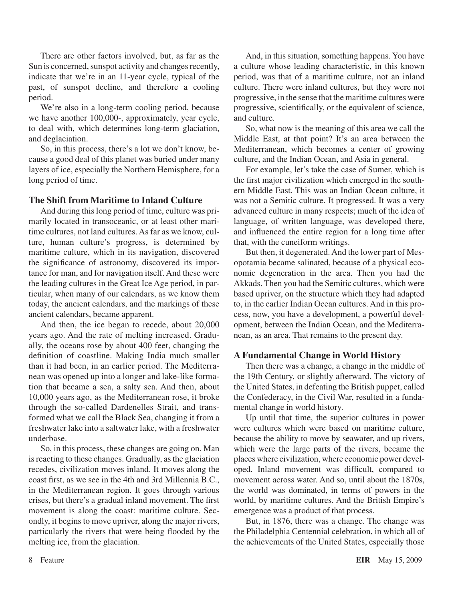There are other factors involved, but, as far as the Sun is concerned, sunspot activity and changes recently, indicate that we're in an 11-year cycle, typical of the past, of sunspot decline, and therefore a cooling period.

We're also in a long-term cooling period, because we have another 100,000-, approximately, year cycle, to deal with, which determines long-term glaciation, and deglaciation.

So, in this process, there's a lot we don't know, because a good deal of this planet was buried under many layers of ice, especially the Northern Hemisphere, for a long period of time.

#### **The Shift from Maritime to Inland Culture**

And during thislong period of time, culture was primarily located in transoceanic, or at least other maritime cultures, not land cultures. As far as we know, culture, human culture's progress, is determined by maritime culture, which in its navigation, discovered the significance of astronomy, discovered its importance for man, and for navigation itself. And these were the leading cultures in the Great Ice Age period, in particular, when many of our calendars, as we know them today, the ancient calendars, and the markings of these ancient calendars, became apparent.

And then, the ice began to recede, about 20,000 years ago. And the rate of melting increased. Gradually, the oceans rose by about 400 feet, changing the definition of coastline. Making India much smaller than it had been, in an earlier period. The Mediterranean was opened up into a longer and lake-like formation that became a sea, a salty sea. And then, about 10,000 years ago, as the Mediterranean rose, it broke through the so-called Dardenelles Strait, and transformed what we call the Black Sea, changing it from a freshwater lake into a saltwater lake, with a freshwater underbase.

So, in this process, these changes are going on. Man is reacting to these changes. Gradually, as the glaciation recedes, civilization moves inland. It moves along the coast first, as we see in the 4th and 3rd Millennia B.C., in the Mediterranean region. It goes through various crises, but there's a gradual inland movement. The first movement is along the coast: maritime culture. Secondly, it begins to move upriver, along the major rivers, particularly the rivers that were being flooded by the melting ice, from the glaciation.

And, in this situation, something happens. You have a culture whose leading characteristic, in this known period, was that of a maritime culture, not an inland culture. There were inland cultures, but they were not progressive, in the sense that the maritime cultures were progressive, scientifically, or the equivalent of science, and culture.

So, what now is the meaning of this area we call the Middle East, at that point? It's an area between the Mediterranean, which becomes a center of growing culture, and the Indian Ocean, and Asia in general.

For example, let's take the case of Sumer, which is the first major civilization which emerged in the southern Middle East. This was an Indian Ocean culture, it was not a Semitic culture. It progressed. It was a very advanced culture in many respects; much of the idea of language, of written language, was developed there, and influenced the entire region for a long time after that, with the cuneiform writings.

But then, it degenerated.And the lower part of Mesopotamia became salinated, because of a physical economic degeneration in the area. Then you had the Akkads. Then you had the Semitic cultures, which were based upriver, on the structure which they had adapted to, in the earlier Indian Ocean cultures. And in this process, now, you have a development, a powerful development, between the Indian Ocean, and the Mediterranean, as an area. That remains to the present day.

#### **A Fundamental Change in World History**

Then there was a change, a change in the middle of the 19th Century, or slightly afterward. The victory of the United States, in defeating the British puppet, called the Confederacy, in the Civil War, resulted in a fundamental change in world history.

Up until that time, the superior cultures in power were cultures which were based on maritime culture, because the ability to move by seawater, and up rivers, which were the large parts of the rivers, became the places where civilization, where economic power developed. Inland movement was difficult, compared to movement across water. And so, until about the 1870s the world was dominated, in terms of powers in the world, by maritime cultures. And the British Empire's emergence was a product of that process.

But, in 1876, there was a change. The change was the Philadelphia Centennial celebration, in which all of the achievements of the United States, especially those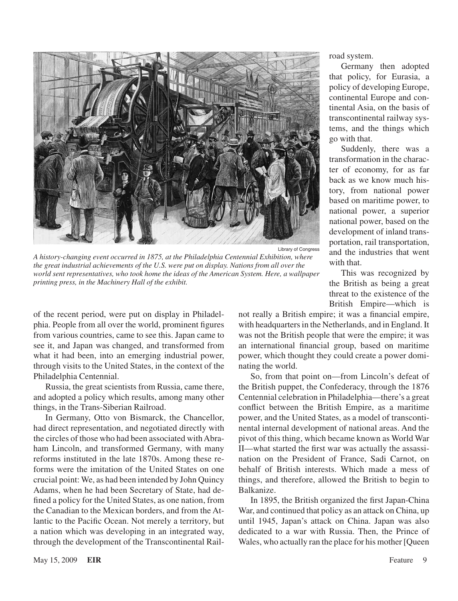

*A history-changing event occurred in 1875, at the Philadelphia Centennial Exhibition, where the great industrial achievements of the U.S. were put on display. Nations from all over the world sent representatives, who took home the ideas of the American System. Here, a wallpaper printing press, in the Machinery Hall of the exhibit.*

of the recent period, were put on display in Philadelphia. People from all over the world, prominent figures from various countries, came to see this. Japan came to see it, and Japan was changed, and transformed from what it had been, into an emerging industrial power, through visits to the United States, in the context of the Philadelphia Centennial.

Russia, the great scientists from Russia, came there, and adopted a policy which results, among many other things, in the Trans-Siberian Railroad.

In Germany, Otto von Bismarck, the Chancellor, had direct representation, and negotiated directly with the circles of those who had been associated withAbraham Lincoln, and transformed Germany, with many reforms instituted in the late 1870s. Among these reforms were the imitation of the United States on one crucial point: We, as had been intended by John Quincy Adams, when he had been Secretary of State, had defined a policy for the United States, as one nation, from the Canadian to the Mexican borders, and from the Atlantic to the Pacific Ocean. Not merely a territory, but a nation which was developing in an integrated way, through the development of the Transcontinental Railroad system.

Germany then adopted that policy, for Eurasia, a policy of developing Europe, continental Europe and continental Asia, on the basis of transcontinental railway systems, and the things which go with that.

Suddenly, there was a transformation in the character of economy, for as far back as we know much history, from national power based on maritime power, to national power, a superior national power, based on the development of inland transportation, rail transportation, and the industries that went with that.

This was recognized by the British as being a great threat to the existence of the British Empire—which is

not really a British empire; it was a financial empire, with headquarters in the Netherlands, and in England. It was not the British people that were the empire; it was an international financial group, based on maritime power, which thought they could create a power dominating the world.

So, from that point on—from Lincoln's defeat of the British puppet, the Confederacy, through the 1876 Centennial celebration in Philadelphia—there's a great conflict between the British Empire, as a maritime power, and the United States, as a model of transcontinental internal development of national areas. And the pivot of this thing, which became known as World War II—what started the first war was actually the assassination on the President of France, Sadi Carnot, on behalf of British interests. Which made a mess of things, and therefore, allowed the British to begin to Balkanize.

In 1895, the British organized the first Japan-China War, and continued that policy as an attack on China, up until 1945, Japan's attack on China. Japan was also dedicated to a war with Russia. Then, the Prince of Wales, who actually ran the place for his mother [Queen]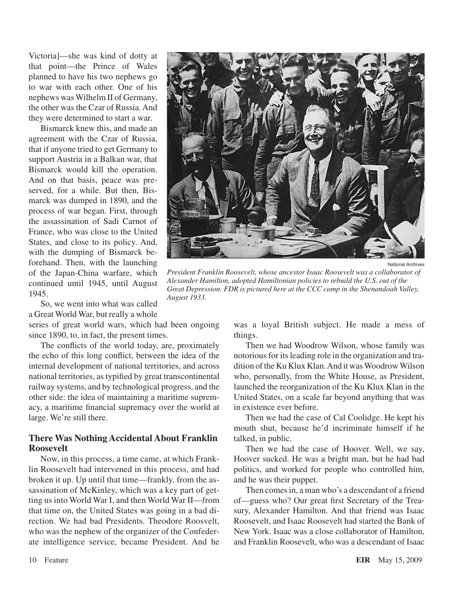Victoria]—she was kind of dotty at that point—the Prince of Wales planned to have his two nephews go to war with each other. One of his nephews wasWilhelm II of Germany, the other was the Czar of Russia.And they were determined to start a war.

Bismarck knew this, and made an agreement with the Czar of Russia, that if anyone tried to get Germany to support Austria in a Balkan war, that Bismarck would kill the operation. And on that basis, peace was preserved, for a while. But then, Bismarck was dumped in 1890, and the process of war began. First, through the assassination of Sadi Carnot of France, who was close to the United States, and close to its policy. And, with the dumping of Bismarck beforehand. Then, with the launching of the Japan-China warfare, which continued until 1945, until August 1945.

So, we went into what was called a Great World War, but really a whole

series of great world wars, which had been ongoing since 1890, to, in fact, the present times.

The conflicts of the world today, are, proximately the echo of this long conflict, between the idea of the internal development of national territories, and across national territories, as typified by great transcontinental railway systems, and by technological progress, and the other side: the idea of maintaining a maritime supremacy, a maritime financial supremacy over the world at large. We're still there.

#### **There Was Nothing Accidental About Franklin Roosevelt**

Now, in this process, a time came, at which Franklin Roosevelt had intervened in this process, and had broken it up. Up until that time—frankly, from the assassination of McKinley, which was a key part of getting us into World War I, and then World War II—from that time on, the United States was going in a bad direction. We had bad Presidents. Theodore Roosvelt, who was the nephew of the organizer of the Confederate intelligence service, became President. And he



National Archives

*President Franklin Roosevelt, whose ancestor Isaac Roosevelt was a collaborator of Alexander Hamilton, adopted Hamiltonian policies to rebuild the U.S. out of the Great Depression. FDR is pictured here at the CCC camp in the Shenandoah Valley, August 1933.*

was a loyal British subject. He made a mess of things.

Then we had Woodrow Wilson, whose family was notorious for its leading role in the organization and tradition of the Ku Klux Klan. And it was Woodrow Wilson who, personally, from the White House, as President, launched the reorganization of the Ku Klux Klan in the United States, on a scale far beyond anything that was in existence ever before.

Then we had the case of Cal Coolidge. He kept his mouth shut, because he'd incriminate himself if he talked, in public.

Then we had the case of Hoover. Well, we say, Hoover sucked. He was a bright man, but he had bad politics, and worked for people who controlled him, and he was their puppet.

Then comes in, a man who's a descendant of a friend of—guess who? Our great first Secretary of the Treasury, Alexander Hamilton. And that friend was Isaac Roosevelt, and Isaac Roosevelt had started the Bank of New York. Isaac was a close collaborator of Hamilton, and Franklin Roosevelt, who was a descendant of Isaac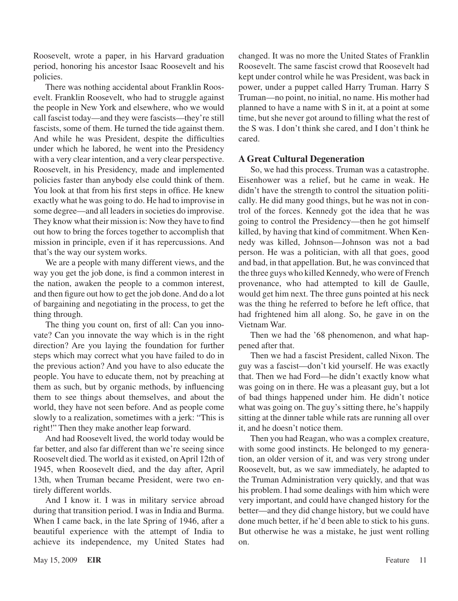Roosevelt, wrote a paper, in his Harvard graduation period, honoring his ancestor Isaac Roosevelt and his policies.

There was nothing accidental about Franklin Roosevelt. Franklin Roosevelt, who had to struggle against the people in New York and elsewhere, who we would call fascist today—and they were fascists—they're still fascists, some of them. He turned the tide against them. And while he was President, despite the difficulties under which he labored, he went into the Presidency with a very clear intention, and a very clear perspective. Roosevelt, in his Presidency, made and implemented policies faster than anybody else could think of them. You look at that from his first steps in office. He knew exactly what he was going to do. He had to improvise in some degree—and all leaders in societies do improvise. They know what their mission is: Now they have to find out how to bring the forces together to accomplish that mission in principle, even if it has repercussions. And that's the way our system works.

We are a people with many different views, and the way you get the job done, is find a common interest in the nation, awaken the people to a common interest, and then figure out how to get the job done.And do a lot of bargaining and negotiating in the process, to get the thing through.

The thing you count on, first of all: Can you innovate? Can you innovate the way which is in the right direction? Are you laying the foundation for further steps which may correct what you have failed to do in the previous action? And you have to also educate the people. You have to educate them, not by preaching at them as such, but by organic methods, by influencing them to see things about themselves, and about the world, they have not seen before. And as people come slowly to a realization, sometimes with a jerk: "This is right!" Then they make another leap forward.

And had Roosevelt lived, the world today would be far better, and also far different than we're seeing since Roosevelt died. The world as it existed, on April 12th of 1945, when Roosevelt died, and the day after, April 13th, when Truman became President, were two entirely different worlds.

And I know it. I was in military service abroad during that transition period. I was in India and Burma. When I came back, in the late Spring of 1946, after a beautiful experience with the attempt of India to achieve its independence, my United States had changed. It was no more the United States of Franklin Roosevelt. The same fascist crowd that Roosevelt had kept under control while he was President, was back in power, under a puppet called Harry Truman. Harry S Truman—no point, no initial, no name. His mother had planned to have a name with S in it, at a point at some time, but she never got around to filling what the rest of the S was. I don't think she cared, and I don't think he cared.

#### **A Great Cultural Degeneration**

So, we had this process. Truman was a catastrophe. Eisenhower was a relief, but he came in weak. He didn't have the strength to control the situation politically. He did many good things, but he was not in control of the forces. Kennedy got the idea that he was going to control the Presidency—then he got himself killed, by having that kind of commitment. When Kennedy was killed, Johnson—Johnson was not a bad person. He was a politician, with all that goes, good and bad, in that appellation. But, he was convinced that the three guys who killed Kennedy, who were of French provenance, who had attempted to kill de Gaulle, would get him next. The three guns pointed at his neck was the thing he referred to before he left office, that had frightened him all along. So, he gave in on the Vietnam War.

Then we had the '68 phenomenon, and what happened after that.

Then we had a fascist President, called Nixon. The guy was a fascist—don't kid yourself. He was exactly that. Then we had Ford—he didn't exactly know what was going on in there. He was a pleasant guy, but a lot of bad things happened under him. He didn't notice what was going on. The guy's sitting there, he's happily sitting at the dinner table while rats are running all over it, and he doesn't notice them.

Then you had Reagan, who was a complex creature, with some good instincts. He belonged to my generation, an older version of it, and was very strong under Roosevelt, but, as we saw immediately, he adapted to the Truman Administration very quickly, and that was his problem. I had some dealings with him which were very important, and could have changed history for the better—and they did change history, but we could have done much better, if he'd been able to stick to his guns. But otherwise he was a mistake, he just went rolling on.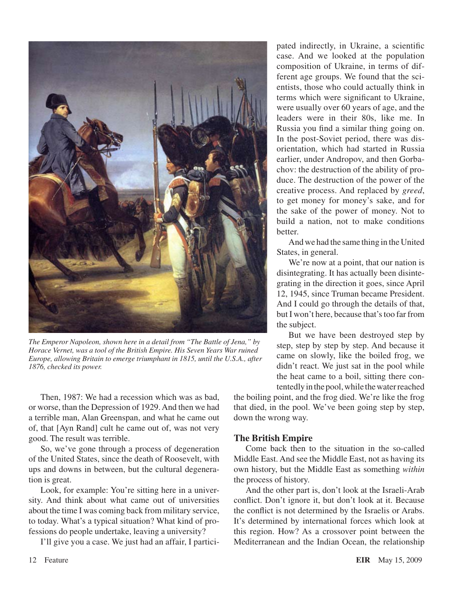

*The Emperor Napoleon, shown here in a detail from "The Battle of Jena," by Horace Vernet, was a tool of the British Empire. His Seven Years War ruined Europe, allowing Britain to emerge triumphant in 1815, until the U.S.A., after 1876, checked its power.*

Then, 1987: We had a recession which was as bad, or worse, than the Depression of 1929.And then we had a terrible man, Alan Greenspan, and what he came out of, that [Ayn Rand] cult he came out of, was not very good. The result was terrible.

So, we've gone through a process of degeneration of the United States, since the death of Roosevelt, with ups and downs in between, but the cultural degeneration is great.

Look, for example: You're sitting here in a university. And think about what came out of universities about the time I was coming back from military service, to today. What's a typical situation? What kind of professions do people undertake, leaving a university?

I'll give you a case. We just had an affair, I partici-

pated indirectly, in Ukraine, a scientific case. And we looked at the population composition of Ukraine, in terms of different age groups. We found that the scientists, those who could actually think in terms which were significant to Ukraine, were usually over 60 years of age, and the leaders were in their 80s, like me. In Russia you find a similar thing going on. In the post-Soviet period, there was disorientation, which had started in Russia earlier, under Andropov, and then Gorbachov: the destruction of the ability of produce. The destruction of the power of the creative process. And replaced by *greed*, to get money for money's sake, and for the sake of the power of money. Not to build a nation, not to make conditions **better** 

And we had the same thing in the United States, in general.

We're now at a point, that our nation is disintegrating. It has actually been disintegrating in the direction it goes, since April 12, 1945, since Truman became President. And I could go through the details of that, but I won't here, because that's too far from the subject.

But we have been destroyed step by step, step by step by step. And because it came on slowly, like the boiled frog, we didn't react. We just sat in the pool while the heat came to a boil, sitting there contentedly in the pool, while the water reached

the boiling point, and the frog died. We're like the frog that died, in the pool. We've been going step by step, down the wrong way.

#### **The British Empire**

Come back then to the situation in the so-called Middle East. And see the Middle East, not as having its own history, but the Middle East as something *within* the process of history.

And the other part is, don't look at the Israeli-Arab conflict. Don't ignore it, but don't look at it. Because the conflict is not determined by the Israelis or Arabs. It's determined by international forces which look at this region. How? As a crossover point between the Mediterranean and the Indian Ocean, the relationship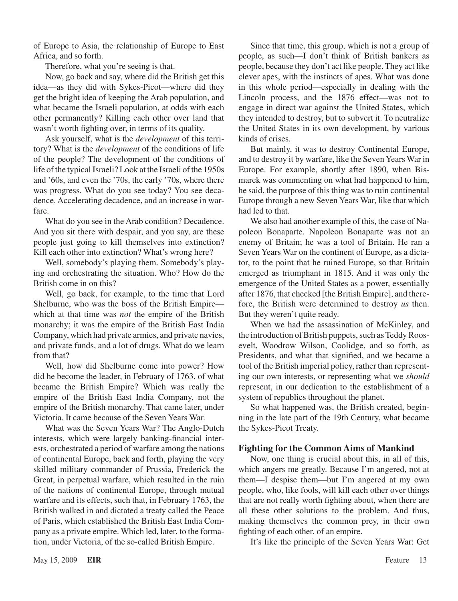of Europe to Asia, the relationship of Europe to East Africa, and so forth.

Therefore, what you're seeing is that.

Now, go back and say, where did the British get this idea—as they did with Sykes-Picot—where did they get the bright idea of keeping the Arab population, and what became the Israeli population, at odds with each other permanently? Killing each other over land that wasn't worth fighting over, in terms of its quality.

Ask yourself, what is the *development* of this territory? What is the *development* of the conditions of life of the people? The development of the conditions of life of the typical Israeli? Look at the Israeli of the 1950s and '60s, and even the '70s, the early '70s, where there was progress. What do you see today? You see decadence. Accelerating decadence, and an increase in warfare.

What do you see in the Arab condition? Decadence. And you sit there with despair, and you say, are these people just going to kill themselves into extinction? Kill each other into extinction? What's wrong here?

Well, somebody's playing them. Somebody's playing and orchestrating the situation. Who? How do the British come in on this?

Well, go back, for example, to the time that Lord Shelburne, who was the boss of the British Empire which at that time was *not* the empire of the British monarchy; it was the empire of the British East India Company, which had private armies, and private navies, and private funds, and a lot of drugs. What do we learn from that?

Well, how did Shelburne come into power? How did he become the leader, in February of 1763, of what became the British Empire? Which was really the empire of the British East India Company, not the empire of the British monarchy. That came later, under Victoria. It came because of the Seven Years War.

What was the Seven Years War? The Anglo-Dutch interests, which were largely banking-financial interests, orchestrated a period of warfare among the nations of continental Europe, back and forth, playing the very skilled military commander of Prussia, Frederick the Great, in perpetual warfare, which resulted in the ruin of the nations of continental Europe, through mutual warfare and its effects, such that, in February 1763, the British walked in and dictated a treaty called the Peace of Paris, which established the British East India Company as a private empire. Which led, later, to the formation, under Victoria, of the so-called British Empire.

Since that time, this group, which is not a group of people, as such—I don't think of British bankers as people, because they don't act like people. They act like clever apes, with the instincts of apes. What was done in this whole period—especially in dealing with the Lincoln process, and the 1876 effect—was not to engage in direct war against the United States, which they intended to destroy, but to subvert it. To neutralize the United States in its own development, by various kinds of crises.

But mainly, it was to destroy Continental Europe, and to destroy it by warfare, like the Seven Years War in Europe. For example, shortly after 1890, when Bismarck was commenting on what had happened to him, he said, the purpose of this thing was to ruin continental Europe through a new Seven Years War, like that which had led to that.

We also had another example of this, the case of Napoleon Bonaparte. Napoleon Bonaparte was not an enemy of Britain; he was a tool of Britain. He ran a Seven Years War on the continent of Europe, as a dictator, to the point that he ruined Europe, so that Britain emerged as triumphant in 1815. And it was only the emergence of the United States as a power, essentially after 1876, that checked [the British Empire], and therefore, the British were determined to destroy *us* then. But they weren't quite ready.

When we had the assassination of McKinley, and the introduction of British puppets, such as Teddy Roosevelt, Woodrow Wilson, Coolidge, and so forth, as Presidents, and what that signified, and we became a tool of the British imperial policy, rather than representing our own interests, or representing what we *should* represent, in our dedication to the establishment of a system of republics throughout the planet.

So what happened was, the British created, beginning in the late part of the 19th Century, what became the Sykes-Picot Treaty.

#### **Fighting for the Common Aims of Mankind**

Now, one thing is crucial about this, in all of this, which angers me greatly. Because I'm angered, not at them—I despise them—but I'm angered at my own people, who, like fools, will kill each other over things that are not really worth fighting about, when there are all these other solutions to the problem. And thus, making themselves the common prey, in their own fighting of each other, of an empire.

It's like the principle of the Seven Years War: Get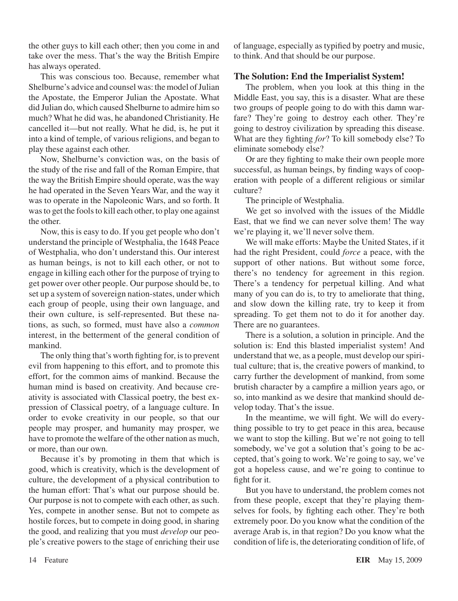the other guys to kill each other; then you come in and take over the mess. That's the way the British Empire has always operated.

This was conscious too. Because, remember what Shelburne's advice and counsel was: the model of Julian the Apostate, the Emperor Julian the Apostate. What did Julian do, which caused Shelburne to admire him so much? What he did was, he abandoned Christianity. He cancelled it—but not really. What he did, is, he put it into a kind of temple, of various religions, and began to play these against each other.

Now, Shelburne's conviction was, on the basis of the study of the rise and fall of the Roman Empire, that the way the British Empire should operate, was the way he had operated in the Seven Years War, and the way it was to operate in the Napoleonic Wars, and so forth. It was to get the fools to kill each other, to play one against the other.

Now, this is easy to do. If you get people who don't understand the principle of Westphalia, the 1648 Peace of Westphalia, who don't understand this. Our interest as human beings, is not to kill each other, or not to engage in killing each other for the purpose of trying to get power over other people. Our purpose should be, to set up a system of sovereign nation-states, under which each group of people, using their own language, and their own culture, is self-represented. But these nations, as such, so formed, must have also a *common* interest, in the betterment of the general condition of mankind.

The only thing that's worth fighting for, is to prevent evil from happening to this effort, and to promote this effort, for the common aims of mankind. Because the human mind is based on creativity. And because creativity is associated with Classical poetry, the best expression of Classical poetry, of a language culture. In order to evoke creativity in our people, so that our people may prosper, and humanity may prosper, we have to promote the welfare of the other nation as much, or more, than our own.

Because it's by promoting in them that which is good, which is creativity, which is the development of culture, the development of a physical contribution to the human effort: That's what our purpose should be. Our purpose is not to compete with each other, as such. Yes, compete in another sense. But not to compete as hostile forces, but to compete in doing good, in sharing the good, and realizing that you must *develop* our people's creative powers to the stage of enriching their use of language, especially as typified by poetry and music, to think. And that should be our purpose.

#### **The Solution: End the Imperialist System!**

The problem, when you look at this thing in the Middle East, you say, this is a disaster. What are these two groups of people going to do with this damn warfare? They're going to destroy each other. They're going to destroy civilization by spreading this disease. What are they fighting *for*? To kill somebody else? To eliminate somebody else?

Or are they fighting to make their own people more successful, as human beings, by finding ways of cooperation with people of a different religious or similar culture?

The principle of Westphalia.

We get so involved with the issues of the Middle East, that we find we can never solve them! The way we're playing it, we'll never solve them.

We will make efforts: Maybe the United States, if it had the right President, could *force* a peace, with the support of other nations. But without some force, there's no tendency for agreement in this region. There's a tendency for perpetual killing. And what many of you can do is, to try to ameliorate that thing, and slow down the killing rate, try to keep it from spreading. To get them not to do it for another day. There are no guarantees.

There is a solution, a solution in principle. And the solution is: End this blasted imperialist system! And understand that we, as a people, must develop our spiritual culture; that is, the creative powers of mankind, to carry further the development of mankind, from some brutish character by a campfire a million years ago, or so, into mankind as we desire that mankind should develop today. That's the issue.

In the meantime, we will fight. We will do everything possible to try to get peace in this area, because we want to stop the killing. But we're not going to tell somebody, we've got a solution that's going to be accepted, that's going to work. We're going to say, we've got a hopeless cause, and we're going to continue to fight for it.

But you have to understand, the problem comes not from these people, except that they're playing themselves for fools, by fighting each other. They're both extremely poor. Do you know what the condition of the average Arab is, in that region? Do you know what the condition of life is, the deteriorating condition of life, of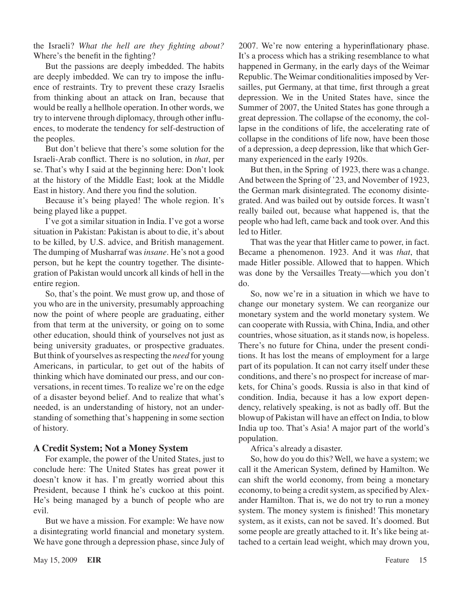the Israeli? *What the hell are they fighting about?* Where's the benefit in the fighting?

But the passions are deeply imbedded. The habits are deeply imbedded. We can try to impose the influence of restraints. Try to prevent these crazy Israelis from thinking about an attack on Iran, because that would be really a hellhole operation. In other words, we try to intervene through diplomacy, through other influences, to moderate the tendency for self-destruction of the peoples.

But don't believe that there's some solution for the Israeli-Arab conflict. There is no solution, in *that*, per se. That's why I said at the beginning here: Don't look at the history of the Middle East; look at the Middle East in history. And there you find the solution.

Because it's being played! The whole region. It's being played like a puppet.

I've got a similar situation in India. I've got a worse situation in Pakistan: Pakistan is about to die, it's about to be killed, by U.S. advice, and British management. The dumping of Musharraf was *insane*. He's not a good person, but he kept the country together. The disintegration of Pakistan would uncork all kinds of hell in the entire region.

So, that's the point. We must grow up, and those of you who are in the university, presumably approaching now the point of where people are graduating, either from that term at the university, or going on to some other education, should think of yourselves not just as being university graduates, or prospective graduates. But think of yourselves asrespecting the *need* for young Americans, in particular, to get out of the habits of thinking which have dominated our press, and our conversations, in recent times. To realize we're on the edge of a disaster beyond belief. And to realize that what's needed, is an understanding of history, not an understanding of something that's happening in some section of history.

#### **A Credit System; Not a Money System**

For example, the power of the United States, just to conclude here: The United States has great power it doesn't know it has. I'm greatly worried about this President, because I think he's cuckoo at this point. He's being managed by a bunch of people who are evil.

But we have a mission. For example: We have now a disintegrating world financial and monetary system. We have gone through a depression phase, since July of 2007. We're now entering a hyperinflationary phase. It's a process which has a striking resemblance to what happened in Germany, in the early days of the Weimar Republic. The Weimar conditionalities imposed by Versailles, put Germany, at that time, first through a great depression. We in the United States have, since the Summer of 2007, the United States has gone through a great depression. The collapse of the economy, the collapse in the conditions of life, the accelerating rate of collapse in the conditions of life now, have been those of a depression, a deep depression, like that which Germany experienced in the early 1920s.

But then, in the Spring of 1923, there was a change. And between the Spring of '23, and November of 1923, the German mark disintegrated. The economy disintegrated. And was bailed out by outside forces. It wasn't really bailed out, because what happened is, that the people who had left, came back and took over. And this led to Hitler.

That was the year that Hitler came to power, in fact. Became a phenomenon. 1923. And it was *that*, that made Hitler possible. Allowed that to happen. Which was done by the Versailles Treaty—which you don't do.

So, now we're in a situation in which we have to change our monetary system. We can reorganize our monetary system and the world monetary system. We can cooperate with Russia, with China, India, and other countries, whose situation, as it stands now, is hopeless. There's no future for China, under the present conditions. It has lost the means of employment for a large part of its population. It can not carry itself under these conditions, and there's no prospect for increase of markets, for China's goods. Russia is also in that kind of condition. India, because it has a low export dependency, relatively speaking, is not as badly off. But the blowup of Pakistan will have an effect on India, to blow India up too. That's Asia! A major part of the world's population.

Africa's already a disaster.

So, how do you do this? Well, we have a system; we call it the American System, defined by Hamilton. We can shift the world economy, from being a monetary economy, to being a credit system, as specified by Alexander Hamilton. That is, we do not try to run a money system. The money system is finished! This monetary system, as it exists, can not be saved. It's doomed. But some people are greatly attached to it. It's like being attached to a certain lead weight, which may drown you,